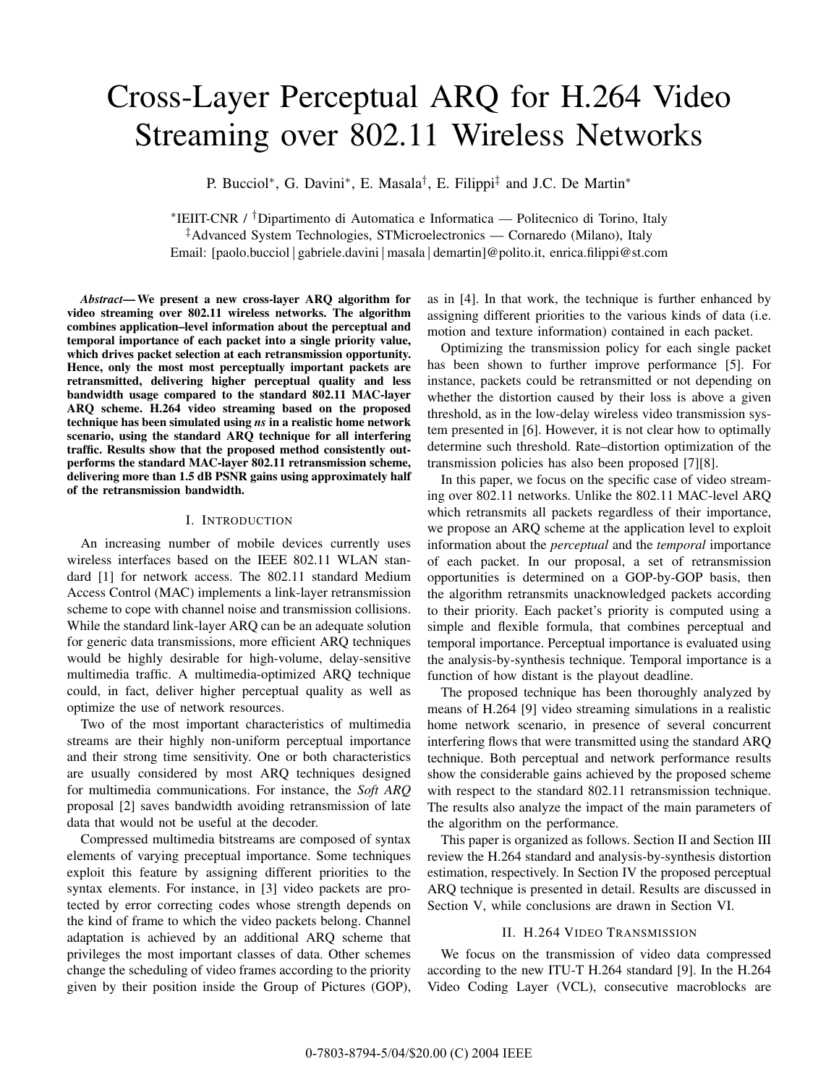# Cross-Layer Perceptual ARQ for H.264 Video Streaming over 802.11 Wireless Networks

P. Bucciol<sup>∗</sup>, G. Davini<sup>∗</sup>, E. Masala<sup>†</sup>, E. Filippi<sup>‡</sup> and J.C. De Martin<sup>∗</sup>

∗IEIIT-CNR / †Dipartimento di Automatica e Informatica — Politecnico di Torino, Italy ‡Advanced System Technologies, STMicroelectronics — Cornaredo (Milano), Italy Email: [paolo.bucciol|gabriele.davini|masala|demartin]@polito.it, enrica.filippi@st.com

*Abstract***— We present a new cross-layer ARQ algorithm for video streaming over 802.11 wireless networks. The algorithm combines application–level information about the perceptual and temporal importance of each packet into a single priority value, which drives packet selection at each retransmission opportunity. Hence, only the most most perceptually important packets are retransmitted, delivering higher perceptual quality and less bandwidth usage compared to the standard 802.11 MAC-layer ARQ scheme. H.264 video streaming based on the proposed technique has been simulated using** *ns* **in a realistic home network scenario, using the standard ARQ technique for all interfering traffic. Results show that the proposed method consistently outperforms the standard MAC-layer 802.11 retransmission scheme, delivering more than 1.5 dB PSNR gains using approximately half of the retransmission bandwidth.**

## I. INTRODUCTION

An increasing number of mobile devices currently uses wireless interfaces based on the IEEE 802.11 WLAN standard [1] for network access. The 802.11 standard Medium Access Control (MAC) implements a link-layer retransmission scheme to cope with channel noise and transmission collisions. While the standard link-layer ARQ can be an adequate solution for generic data transmissions, more efficient ARQ techniques would be highly desirable for high-volume, delay-sensitive multimedia traffic. A multimedia-optimized ARQ technique could, in fact, deliver higher perceptual quality as well as optimize the use of network resources.

Two of the most important characteristics of multimedia streams are their highly non-uniform perceptual importance and their strong time sensitivity. One or both characteristics are usually considered by most ARQ techniques designed for multimedia communications. For instance, the *Soft ARQ* proposal [2] saves bandwidth avoiding retransmission of late data that would not be useful at the decoder.

Compressed multimedia bitstreams are composed of syntax elements of varying preceptual importance. Some techniques exploit this feature by assigning different priorities to the syntax elements. For instance, in [3] video packets are protected by error correcting codes whose strength depends on the kind of frame to which the video packets belong. Channel adaptation is achieved by an additional ARQ scheme that privileges the most important classes of data. Other schemes change the scheduling of video frames according to the priority given by their position inside the Group of Pictures (GOP), as in [4]. In that work, the technique is further enhanced by assigning different priorities to the various kinds of data (i.e. motion and texture information) contained in each packet.

Optimizing the transmission policy for each single packet has been shown to further improve performance [5]. For instance, packets could be retransmitted or not depending on whether the distortion caused by their loss is above a given threshold, as in the low-delay wireless video transmission system presented in [6]. However, it is not clear how to optimally determine such threshold. Rate–distortion optimization of the transmission policies has also been proposed [7][8].

In this paper, we focus on the specific case of video streaming over 802.11 networks. Unlike the 802.11 MAC-level ARQ which retransmits all packets regardless of their importance, we propose an ARQ scheme at the application level to exploit information about the *perceptual* and the *temporal* importance of each packet. In our proposal, a set of retransmission opportunities is determined on a GOP-by-GOP basis, then the algorithm retransmits unacknowledged packets according to their priority. Each packet's priority is computed using a simple and flexible formula, that combines perceptual and temporal importance. Perceptual importance is evaluated using the analysis-by-synthesis technique. Temporal importance is a function of how distant is the playout deadline.

The proposed technique has been thoroughly analyzed by means of H.264 [9] video streaming simulations in a realistic home network scenario, in presence of several concurrent interfering flows that were transmitted using the standard ARQ technique. Both perceptual and network performance results show the considerable gains achieved by the proposed scheme with respect to the standard 802.11 retransmission technique. The results also analyze the impact of the main parameters of the algorithm on the performance.

This paper is organized as follows. Section II and Section III review the H.264 standard and analysis-by-synthesis distortion estimation, respectively. In Section IV the proposed perceptual ARQ technique is presented in detail. Results are discussed in Section V, while conclusions are drawn in Section VI.

#### II. H.264 VIDEO TRANSMISSION

We focus on the transmission of video data compressed according to the new ITU-T H.264 standard [9]. In the H.264 Video Coding Layer (VCL), consecutive macroblocks are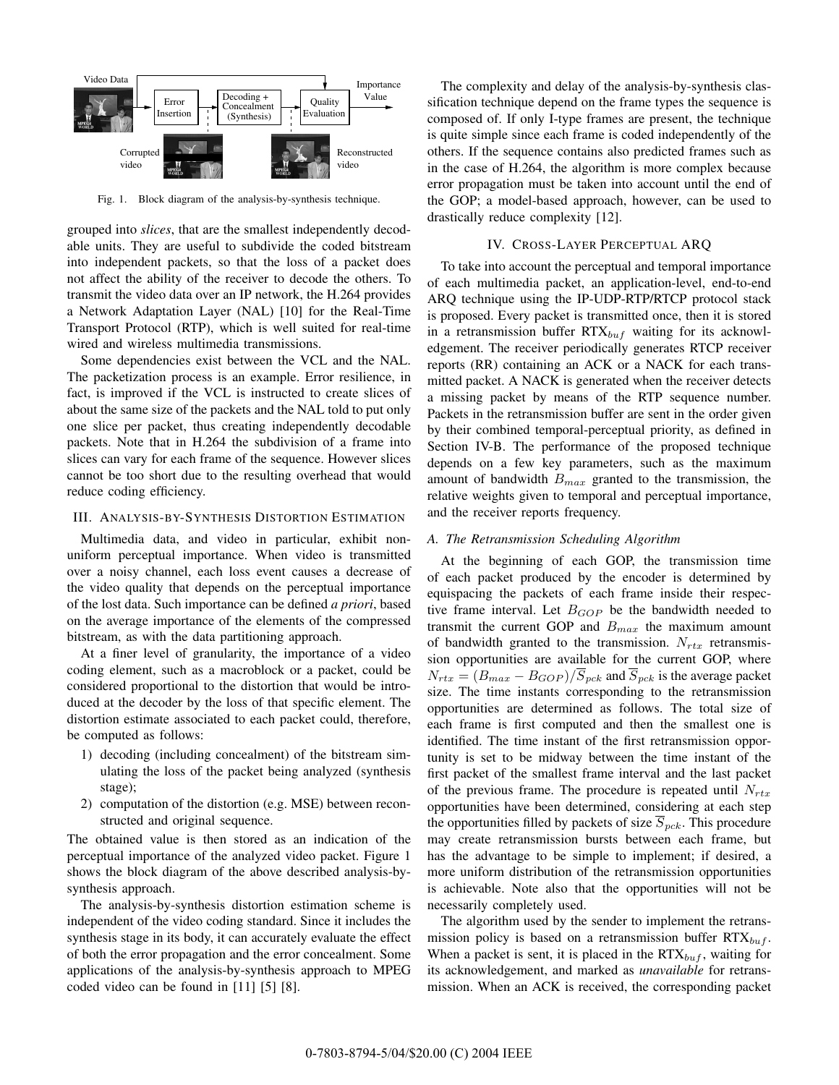

Fig. 1. Block diagram of the analysis-by-synthesis technique.

grouped into *slices*, that are the smallest independently decodable units. They are useful to subdivide the coded bitstream into independent packets, so that the loss of a packet does not affect the ability of the receiver to decode the others. To transmit the video data over an IP network, the H.264 provides a Network Adaptation Layer (NAL) [10] for the Real-Time Transport Protocol (RTP), which is well suited for real-time wired and wireless multimedia transmissions.

Some dependencies exist between the VCL and the NAL. The packetization process is an example. Error resilience, in fact, is improved if the VCL is instructed to create slices of about the same size of the packets and the NAL told to put only one slice per packet, thus creating independently decodable packets. Note that in H.264 the subdivision of a frame into slices can vary for each frame of the sequence. However slices cannot be too short due to the resulting overhead that would reduce coding efficiency.

## III. ANALYSIS-BY-SYNTHESIS DISTORTION ESTIMATION

Multimedia data, and video in particular, exhibit nonuniform perceptual importance. When video is transmitted over a noisy channel, each loss event causes a decrease of the video quality that depends on the perceptual importance of the lost data. Such importance can be defined *a priori*, based on the average importance of the elements of the compressed bitstream, as with the data partitioning approach.

At a finer level of granularity, the importance of a video coding element, such as a macroblock or a packet, could be considered proportional to the distortion that would be introduced at the decoder by the loss of that specific element. The distortion estimate associated to each packet could, therefore, be computed as follows:

- 1) decoding (including concealment) of the bitstream simulating the loss of the packet being analyzed (synthesis stage);
- 2) computation of the distortion (e.g. MSE) between reconstructed and original sequence.

The obtained value is then stored as an indication of the perceptual importance of the analyzed video packet. Figure 1 shows the block diagram of the above described analysis-bysynthesis approach.

The analysis-by-synthesis distortion estimation scheme is independent of the video coding standard. Since it includes the synthesis stage in its body, it can accurately evaluate the effect of both the error propagation and the error concealment. Some applications of the analysis-by-synthesis approach to MPEG coded video can be found in [11] [5] [8].

The complexity and delay of the analysis-by-synthesis classification technique depend on the frame types the sequence is composed of. If only I-type frames are present, the technique is quite simple since each frame is coded independently of the others. If the sequence contains also predicted frames such as in the case of H.264, the algorithm is more complex because error propagation must be taken into account until the end of the GOP; a model-based approach, however, can be used to drastically reduce complexity [12].

## IV. CROSS-LAYER PERCEPTUAL ARQ

To take into account the perceptual and temporal importance of each multimedia packet, an application-level, end-to-end ARQ technique using the IP-UDP-RTP/RTCP protocol stack is proposed. Every packet is transmitted once, then it is stored in a retransmission buffer RTX*buf* waiting for its acknowledgement. The receiver periodically generates RTCP receiver reports (RR) containing an ACK or a NACK for each transmitted packet. A NACK is generated when the receiver detects a missing packet by means of the RTP sequence number. Packets in the retransmission buffer are sent in the order given by their combined temporal-perceptual priority, as defined in Section IV-B. The performance of the proposed technique depends on a few key parameters, such as the maximum amount of bandwidth *Bmax* granted to the transmission, the relative weights given to temporal and perceptual importance, and the receiver reports frequency.

#### *A. The Retransmission Scheduling Algorithm*

At the beginning of each GOP, the transmission time of each packet produced by the encoder is determined by equispacing the packets of each frame inside their respective frame interval. Let *BGOP* be the bandwidth needed to transmit the current GOP and *Bmax* the maximum amount of bandwidth granted to the transmission. *Nrtx* retransmission opportunities are available for the current GOP, where  $N_{rtx} = (B_{max} - B_{GOP})/\overline{S}_{pck}$  and  $\overline{S}_{pck}$  is the average packet size. The time instants corresponding to the retransmission opportunities are determined as follows. The total size of each frame is first computed and then the smallest one is identified. The time instant of the first retransmission opportunity is set to be midway between the time instant of the first packet of the smallest frame interval and the last packet of the previous frame. The procedure is repeated until *Nrtx* opportunities have been determined, considering at each step the opportunities filled by packets of size  $\overline{S}_{pck}$ . This procedure may create retransmission bursts between each frame, but has the advantage to be simple to implement; if desired, a more uniform distribution of the retransmission opportunities is achievable. Note also that the opportunities will not be necessarily completely used.

The algorithm used by the sender to implement the retransmission policy is based on a retransmission buffer RTX*buf* . When a packet is sent, it is placed in the  $RTX_{buf}$ , waiting for its acknowledgement, and marked as *unavailable* for retransmission. When an ACK is received, the corresponding packet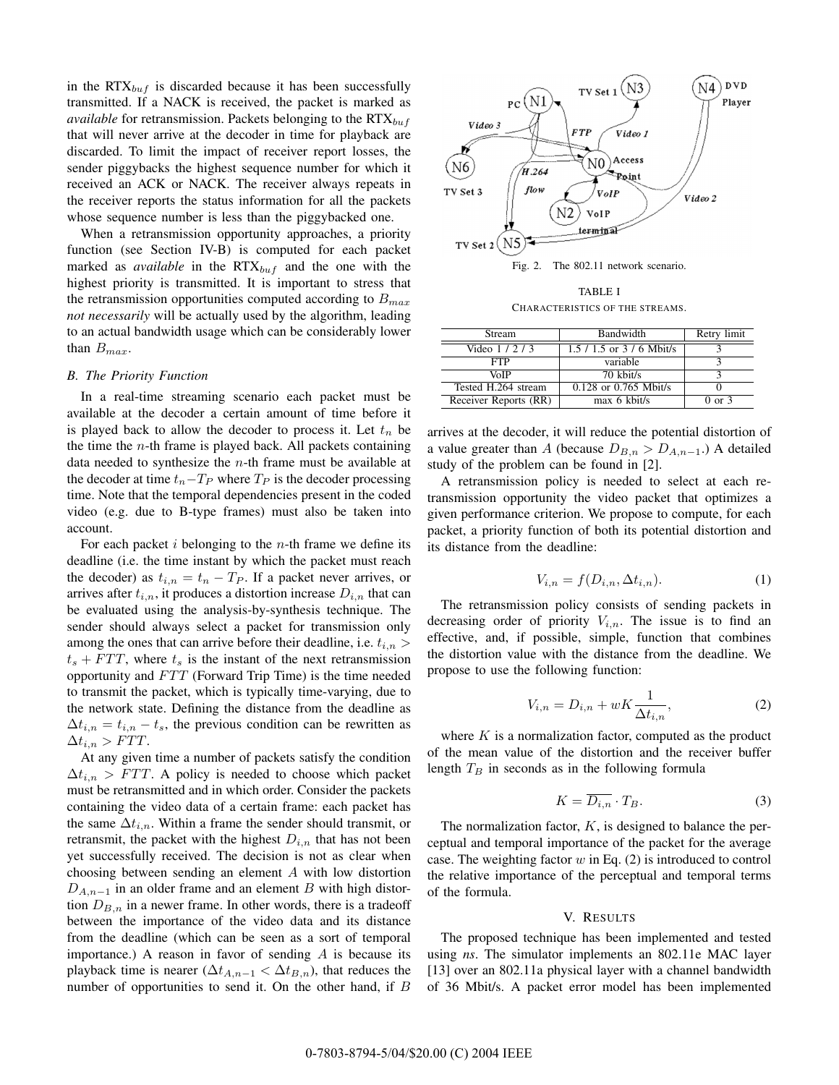in the RTX*buf* is discarded because it has been successfully transmitted. If a NACK is received, the packet is marked as *available* for retransmission. Packets belonging to the RTX*buf* that will never arrive at the decoder in time for playback are discarded. To limit the impact of receiver report losses, the sender piggybacks the highest sequence number for which it received an ACK or NACK. The receiver always repeats in the receiver reports the status information for all the packets whose sequence number is less than the piggybacked one.

When a retransmission opportunity approaches, a priority function (see Section IV-B) is computed for each packet marked as *available* in the RTX*buf* and the one with the highest priority is transmitted. It is important to stress that the retransmission opportunities computed according to *Bmax not necessarily* will be actually used by the algorithm, leading to an actual bandwidth usage which can be considerably lower than *Bmax*.

## *B. The Priority Function*

In a real-time streaming scenario each packet must be available at the decoder a certain amount of time before it is played back to allow the decoder to process it. Let  $t_n$  be the time the *n*-th frame is played back. All packets containing data needed to synthesize the *n*-th frame must be available at the decoder at time  $t_n - T_P$  where  $T_P$  is the decoder processing time. Note that the temporal dependencies present in the coded video (e.g. due to B-type frames) must also be taken into account.

For each packet *i* belonging to the *n*-th frame we define its deadline (i.e. the time instant by which the packet must reach the decoder) as  $t_{i,n} = t_n - T_P$ . If a packet never arrives, or arrives after  $t_{i,n}$ , it produces a distortion increase  $D_{i,n}$  that can be evaluated using the analysis-by-synthesis technique. The sender should always select a packet for transmission only among the ones that can arrive before their deadline, i.e. *ti,n >*  $t_s + FTT$ , where  $t_s$  is the instant of the next retransmission opportunity and *FTT* (Forward Trip Time) is the time needed to transmit the packet, which is typically time-varying, due to the network state. Defining the distance from the deadline as  $\Delta t_{i,n} = t_{i,n} - t_s$ , the previous condition can be rewritten as  $\Delta t_{i,n} > FTT$ .

At any given time a number of packets satisfy the condition  $\Delta t_{i,n} > FTT$ . A policy is needed to choose which packet must be retransmitted and in which order. Consider the packets containing the video data of a certain frame: each packet has the same  $\Delta t$ <sub>*i,n*</sub>. Within a frame the sender should transmit, or retransmit, the packet with the highest  $D_{i,n}$  that has not been yet successfully received. The decision is not as clear when choosing between sending an element *A* with low distortion *D*<sub>*A,n*−1</sub> in an older frame and an element *B* with high distortion  $D_{B,n}$  in a newer frame. In other words, there is a tradeoff between the importance of the video data and its distance from the deadline (which can be seen as a sort of temporal importance.) A reason in favor of sending *A* is because its playback time is nearer ( $\Delta t_{A,n-1} < \Delta t_{B,n}$ ), that reduces the number of opportunities to send it. On the other hand, if *B*



CHARACTERISTICS OF THE STREAMS.

| Stream                | Bandwidth                     | Retry limit       |
|-----------------------|-------------------------------|-------------------|
| Video $1/2/3$         | $1.5 / 1.5$ or $3 / 6$ Mbit/s |                   |
| <b>FTP</b>            | variable                      |                   |
| VoIP                  | 70 kbit/s                     |                   |
| Tested H.264 stream   | $0.128$ or $0.765$ Mbit/s     |                   |
| Receiver Reports (RR) | $max 6$ kbit/s                | $0 \text{ or } 3$ |

arrives at the decoder, it will reduce the potential distortion of a value greater than *A* (because  $D_{B,n} > D_{A,n-1}$ .) A detailed study of the problem can be found in [2].

A retransmission policy is needed to select at each retransmission opportunity the video packet that optimizes a given performance criterion. We propose to compute, for each packet, a priority function of both its potential distortion and its distance from the deadline:

$$
V_{i,n} = f(D_{i,n}, \Delta t_{i,n}).\tag{1}
$$

The retransmission policy consists of sending packets in decreasing order of priority  $V_{i,n}$ . The issue is to find an effective, and, if possible, simple, function that combines the distortion value with the distance from the deadline. We propose to use the following function:

$$
V_{i,n} = D_{i,n} + wK \frac{1}{\Delta t_{i,n}},\tag{2}
$$

where *K* is a normalization factor, computed as the product of the mean value of the distortion and the receiver buffer length  $T_B$  in seconds as in the following formula

$$
K = \overline{D_{i,n}} \cdot T_B. \tag{3}
$$

The normalization factor, *K*, is designed to balance the perceptual and temporal importance of the packet for the average case. The weighting factor *w* in Eq. (2) is introduced to control the relative importance of the perceptual and temporal terms of the formula.

#### V. RESULTS

The proposed technique has been implemented and tested using *ns*. The simulator implements an 802.11e MAC layer [13] over an 802.11a physical layer with a channel bandwidth of 36 Mbit/s. A packet error model has been implemented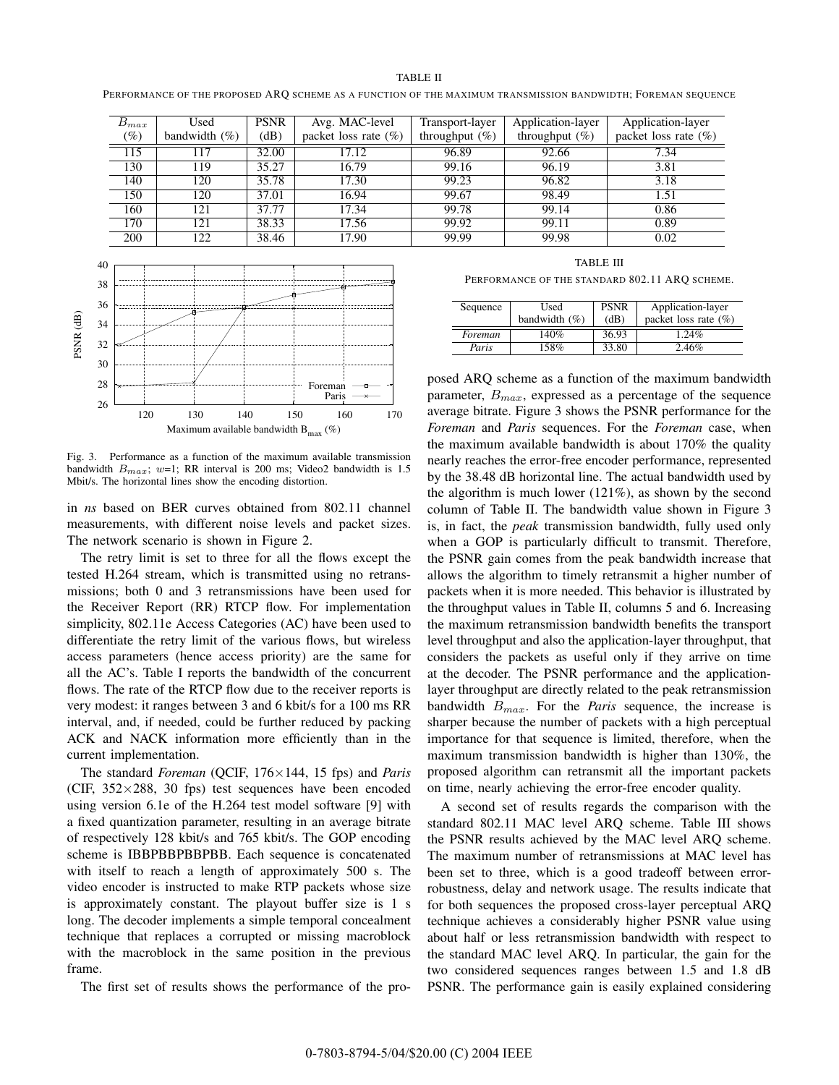PERFORMANCE OF THE PROPOSED ARQ SCHEME AS A FUNCTION OF THE MAXIMUM TRANSMISSION BANDWIDTH; FOREMAN SEQUENCE

| $B_{max}$ | Used              | <b>PSNR</b>        | Avg. MAC-level          | Transport-layer   | Application-layer | Application-layer       |
|-----------|-------------------|--------------------|-------------------------|-------------------|-------------------|-------------------------|
| $(\%)$    | bandwidth $(\% )$ | (dB)               | packet loss rate $(\%)$ | throughput $(\%)$ | throughput $(\%)$ | packet loss rate $(\%)$ |
| 115       | 117               | 32.00              | 17.12                   | 96.89             | 92.66             | 7.34                    |
| 130       | 119               | 35.27              | 16.79                   | 99.16             | 96.19             | 3.81                    |
| 140       | 120               | 35.78              | 17.30                   | 99.23             | 96.82             | 3.18                    |
| 150       | 120               | 37.01              | 16.94                   | 99.67             | 98.49             | 1.51                    |
| 160       | 121               | 37.77              | 17.34                   | 99.78             | 99.14             | 0.86                    |
| 170       | 121               | $38.\overline{33}$ | 17.56                   | 99.92             | 99.11             | $\overline{0.89}$       |
| 200       | 122               | 38.46              | 17.90                   | 99.99             | 99.98             | 0.02                    |



Fig. 3. Performance as a function of the maximum available transmission bandwidth *Bmax*; *w*=1; RR interval is 200 ms; Video2 bandwidth is 1.5 Mbit/s. The horizontal lines show the encoding distortion.

in *ns* based on BER curves obtained from 802.11 channel measurements, with different noise levels and packet sizes. The network scenario is shown in Figure 2.

The retry limit is set to three for all the flows except the tested H.264 stream, which is transmitted using no retransmissions; both 0 and 3 retransmissions have been used for the Receiver Report (RR) RTCP flow. For implementation simplicity, 802.11e Access Categories (AC) have been used to differentiate the retry limit of the various flows, but wireless access parameters (hence access priority) are the same for all the AC's. Table I reports the bandwidth of the concurrent flows. The rate of the RTCP flow due to the receiver reports is very modest: it ranges between 3 and 6 kbit/s for a 100 ms RR interval, and, if needed, could be further reduced by packing ACK and NACK information more efficiently than in the current implementation.

The standard *Foreman* (QCIF, 176*×*144, 15 fps) and *Paris* (CIF, 352*×*288, 30 fps) test sequences have been encoded using version 6.1e of the H.264 test model software [9] with a fixed quantization parameter, resulting in an average bitrate of respectively 128 kbit/s and 765 kbit/s. The GOP encoding scheme is IBBPBBPBBPBB. Each sequence is concatenated with itself to reach a length of approximately 500 s. The video encoder is instructed to make RTP packets whose size is approximately constant. The playout buffer size is 1 s long. The decoder implements a simple temporal concealment technique that replaces a corrupted or missing macroblock with the macroblock in the same position in the previous frame.

The first set of results shows the performance of the pro-

TABLE III PERFORMANCE OF THE STANDARD 802.11 ARQ SCHEME.

| Sequence | Used<br>bandwidth $(\% )$ | <b>PSNR</b><br>(dB) | Application-layer<br>packet loss rate $(\% )$ |
|----------|---------------------------|---------------------|-----------------------------------------------|
| Foreman  | 140%                      | 36.93               | $.24\%$                                       |
| Paris    | 158%                      | 33.80               | 2.46%                                         |

posed ARQ scheme as a function of the maximum bandwidth parameter, *Bmax*, expressed as a percentage of the sequence average bitrate. Figure 3 shows the PSNR performance for the *Foreman* and *Paris* sequences. For the *Foreman* case, when the maximum available bandwidth is about 170% the quality nearly reaches the error-free encoder performance, represented by the 38.48 dB horizontal line. The actual bandwidth used by the algorithm is much lower (121%), as shown by the second column of Table II. The bandwidth value shown in Figure 3 is, in fact, the *peak* transmission bandwidth, fully used only when a GOP is particularly difficult to transmit. Therefore, the PSNR gain comes from the peak bandwidth increase that allows the algorithm to timely retransmit a higher number of packets when it is more needed. This behavior is illustrated by the throughput values in Table II, columns 5 and 6. Increasing the maximum retransmission bandwidth benefits the transport level throughput and also the application-layer throughput, that considers the packets as useful only if they arrive on time at the decoder. The PSNR performance and the applicationlayer throughput are directly related to the peak retransmission bandwidth *Bmax*. For the *Paris* sequence, the increase is sharper because the number of packets with a high perceptual importance for that sequence is limited, therefore, when the maximum transmission bandwidth is higher than 130%, the proposed algorithm can retransmit all the important packets on time, nearly achieving the error-free encoder quality.

A second set of results regards the comparison with the standard 802.11 MAC level ARQ scheme. Table III shows the PSNR results achieved by the MAC level ARQ scheme. The maximum number of retransmissions at MAC level has been set to three, which is a good tradeoff between errorrobustness, delay and network usage. The results indicate that for both sequences the proposed cross-layer perceptual ARQ technique achieves a considerably higher PSNR value using about half or less retransmission bandwidth with respect to the standard MAC level ARQ. In particular, the gain for the two considered sequences ranges between 1.5 and 1.8 dB PSNR. The performance gain is easily explained considering